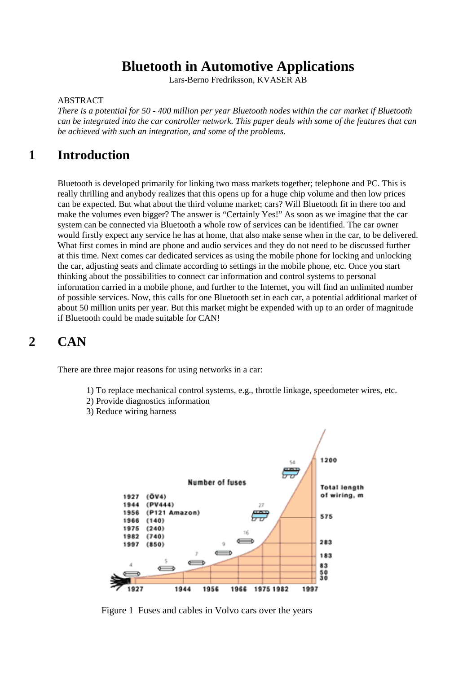## **Bluetooth in Automotive Applications**

Lars-Berno Fredriksson, KVASER AB

#### ABSTRACT

*There is a potential for 50 - 400 million per year Bluetooth nodes within the car market if Bluetooth can be integrated into the car controller network. This paper deals with some of the features that can be achieved with such an integration, and some of the problems.*

### **1 Introduction**

Bluetooth is developed primarily for linking two mass markets together; telephone and PC. This is really thrilling and anybody realizes that this opens up for a huge chip volume and then low prices can be expected. But what about the third volume market; cars? Will Bluetooth fit in there too and make the volumes even bigger? The answer is "Certainly Yes!" As soon as we imagine that the car system can be connected via Bluetooth a whole row of services can be identified. The car owner would firstly expect any service he has at home, that also make sense when in the car, to be delivered. What first comes in mind are phone and audio services and they do not need to be discussed further at this time. Next comes car dedicated services as using the mobile phone for locking and unlocking the car, adjusting seats and climate according to settings in the mobile phone, etc. Once you start thinking about the possibilities to connect car information and control systems to personal information carried in a mobile phone, and further to the Internet, you will find an unlimited number of possible services. Now, this calls for one Bluetooth set in each car, a potential additional market of about 50 million units per year. But this market might be expended with up to an order of magnitude if Bluetooth could be made suitable for CAN!

### **2 CAN**

There are three major reasons for using networks in a car:

- 1) To replace mechanical control systems, e.g., throttle linkage, speedometer wires, etc.
- 2) Provide diagnostics information
- 3) Reduce wiring harness



Figure 1 Fuses and cables in Volvo cars over the years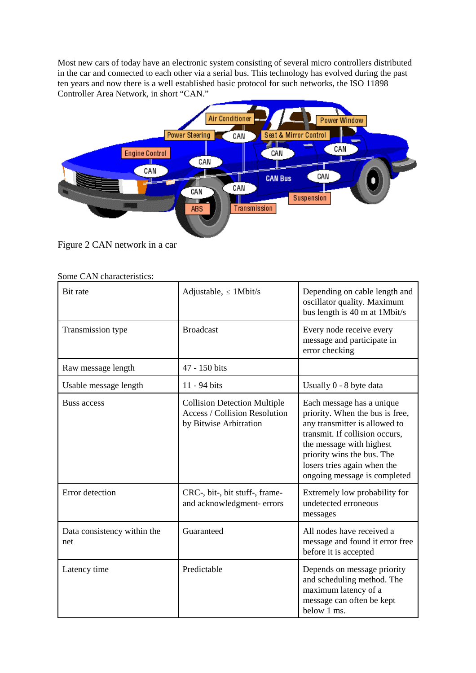Most new cars of today have an electronic system consisting of several micro controllers distributed in the car and connected to each other via a serial bus. This technology has evolved during the past ten years and now there is a well established basic protocol for such networks, the ISO 11898 Controller Area Network, in short "CAN."



Figure 2 CAN network in a car

| Bit rate                           | Adjustable, $\leq$ 1 Mbit/s                                                                           | Depending on cable length and                                                                                                                                                                                                                            |
|------------------------------------|-------------------------------------------------------------------------------------------------------|----------------------------------------------------------------------------------------------------------------------------------------------------------------------------------------------------------------------------------------------------------|
|                                    |                                                                                                       | oscillator quality. Maximum<br>bus length is 40 m at 1Mbit/s                                                                                                                                                                                             |
| Transmission type                  | <b>Broadcast</b>                                                                                      | Every node receive every<br>message and participate in<br>error checking                                                                                                                                                                                 |
| Raw message length                 | 47 - 150 bits                                                                                         |                                                                                                                                                                                                                                                          |
| Usable message length              | 11 - 94 bits                                                                                          | Usually 0 - 8 byte data                                                                                                                                                                                                                                  |
| Buss access                        | <b>Collision Detection Multiple</b><br><b>Access / Collision Resolution</b><br>by Bitwise Arbitration | Each message has a unique<br>priority. When the bus is free,<br>any transmitter is allowed to<br>transmit. If collision occurs,<br>the message with highest<br>priority wins the bus. The<br>losers tries again when the<br>ongoing message is completed |
| Error detection                    | CRC-, bit-, bit stuff-, frame-<br>and acknowledgment-errors                                           | Extremely low probability for<br>undetected erroneous<br>messages                                                                                                                                                                                        |
| Data consistency within the<br>net | Guaranteed                                                                                            | All nodes have received a<br>message and found it error free<br>before it is accepted                                                                                                                                                                    |
| Latency time                       | Predictable                                                                                           | Depends on message priority<br>and scheduling method. The<br>maximum latency of a<br>message can often be kept<br>below 1 ms.                                                                                                                            |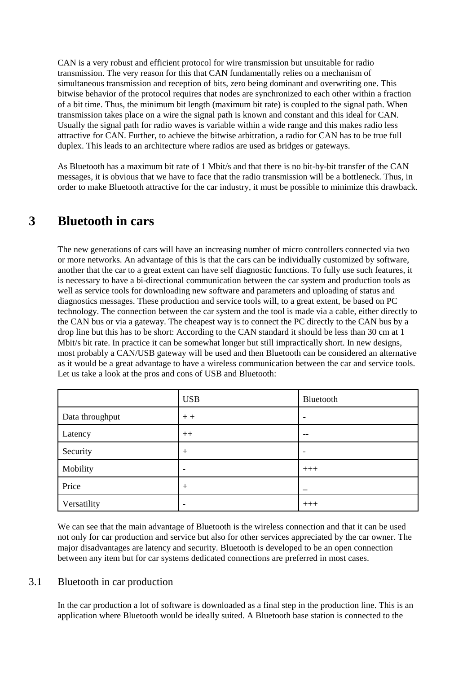CAN is a very robust and efficient protocol for wire transmission but unsuitable for radio transmission. The very reason for this that CAN fundamentally relies on a mechanism of simultaneous transmission and reception of bits, zero being dominant and overwriting one. This bitwise behavior of the protocol requires that nodes are synchronized to each other within a fraction of a bit time. Thus, the minimum bit length (maximum bit rate) is coupled to the signal path. When transmission takes place on a wire the signal path is known and constant and this ideal for CAN. Usually the signal path for radio waves is variable within a wide range and this makes radio less attractive for CAN. Further, to achieve the bitwise arbitration, a radio for CAN has to be true full duplex. This leads to an architecture where radios are used as bridges or gateways.

As Bluetooth has a maximum bit rate of 1 Mbit/s and that there is no bit-by-bit transfer of the CAN messages, it is obvious that we have to face that the radio transmission will be a bottleneck. Thus, in order to make Bluetooth attractive for the car industry, it must be possible to minimize this drawback.

### **3 Bluetooth in cars**

The new generations of cars will have an increasing number of micro controllers connected via two or more networks. An advantage of this is that the cars can be individually customized by software, another that the car to a great extent can have self diagnostic functions. To fully use such features, it is necessary to have a bi-directional communication between the car system and production tools as well as service tools for downloading new software and parameters and uploading of status and diagnostics messages. These production and service tools will, to a great extent, be based on PC technology. The connection between the car system and the tool is made via a cable, either directly to the CAN bus or via a gateway. The cheapest way is to connect the PC directly to the CAN bus by a drop line but this has to be short: According to the CAN standard it should be less than 30 cm at 1 Mbit/s bit rate. In practice it can be somewhat longer but still impractically short. In new designs, most probably a CAN/USB gateway will be used and then Bluetooth can be considered an alternative as it would be a great advantage to have a wireless communication between the car and service tools. Let us take a look at the pros and cons of USB and Bluetooth:

|                 | <b>USB</b>      | Bluetooth                |
|-----------------|-----------------|--------------------------|
| Data throughput | $++$            | $\overline{\phantom{a}}$ |
| Latency         | $++$            | --                       |
| Security        | $^{+}$          |                          |
| Mobility        | $\qquad \qquad$ | $+++$                    |
| Price           | $+$             |                          |
| Versatility     | -               | $+++$                    |

We can see that the main advantage of Bluetooth is the wireless connection and that it can be used not only for car production and service but also for other services appreciated by the car owner. The major disadvantages are latency and security. Bluetooth is developed to be an open connection between any item but for car systems dedicated connections are preferred in most cases.

#### 3.1 Bluetooth in car production

In the car production a lot of software is downloaded as a final step in the production line. This is an application where Bluetooth would be ideally suited. A Bluetooth base station is connected to the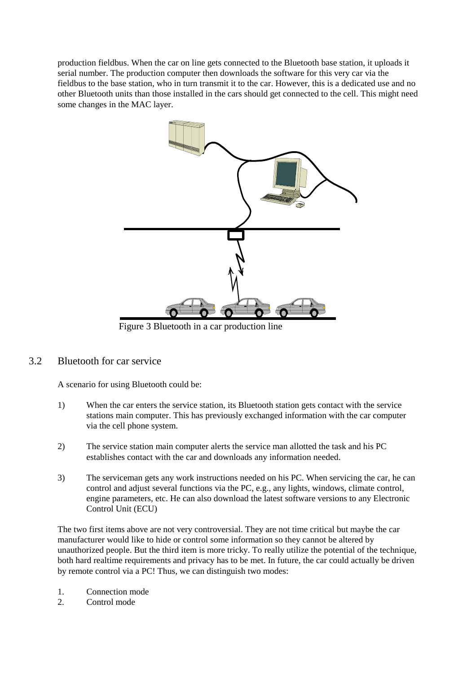production fieldbus. When the car on line gets connected to the Bluetooth base station, it uploads it serial number. The production computer then downloads the software for this very car via the fieldbus to the base station, who in turn transmit it to the car. However, this is a dedicated use and no other Bluetooth units than those installed in the cars should get connected to the cell. This might need some changes in the MAC layer.



Figure 3 Bluetooth in a car production line

#### 3.2 Bluetooth for car service

A scenario for using Bluetooth could be:

- 1) When the car enters the service station, its Bluetooth station gets contact with the service stations main computer. This has previously exchanged information with the car computer via the cell phone system.
- 2) The service station main computer alerts the service man allotted the task and his PC establishes contact with the car and downloads any information needed.
- 3) The serviceman gets any work instructions needed on his PC. When servicing the car, he can control and adjust several functions via the PC, e.g., any lights, windows, climate control, engine parameters, etc. He can also download the latest software versions to any Electronic Control Unit (ECU)

The two first items above are not very controversial. They are not time critical but maybe the car manufacturer would like to hide or control some information so they cannot be altered by unauthorized people. But the third item is more tricky. To really utilize the potential of the technique, both hard realtime requirements and privacy has to be met. In future, the car could actually be driven by remote control via a PC! Thus, we can distinguish two modes:

- 1. Connection mode
- 2. Control mode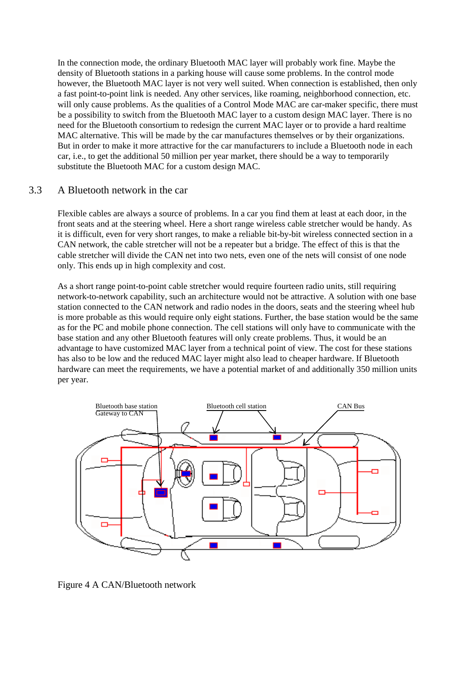In the connection mode, the ordinary Bluetooth MAC layer will probably work fine. Maybe the density of Bluetooth stations in a parking house will cause some problems. In the control mode however, the Bluetooth MAC layer is not very well suited. When connection is established, then only a fast point-to-point link is needed. Any other services, like roaming, neighborhood connection, etc. will only cause problems. As the qualities of a Control Mode MAC are car-maker specific, there must be a possibility to switch from the Bluetooth MAC layer to a custom design MAC layer. There is no need for the Bluetooth consortium to redesign the current MAC layer or to provide a hard realtime MAC alternative. This will be made by the car manufactures themselves or by their organizations. But in order to make it more attractive for the car manufacturers to include a Bluetooth node in each car, i.e., to get the additional 50 million per year market, there should be a way to temporarily substitute the Bluetooth MAC for a custom design MAC.

### 3.3 A Bluetooth network in the car

Flexible cables are always a source of problems. In a car you find them at least at each door, in the front seats and at the steering wheel. Here a short range wireless cable stretcher would be handy. As it is difficult, even for very short ranges, to make a reliable bit-by-bit wireless connected section in a CAN network, the cable stretcher will not be a repeater but a bridge. The effect of this is that the cable stretcher will divide the CAN net into two nets, even one of the nets will consist of one node only. This ends up in high complexity and cost.

As a short range point-to-point cable stretcher would require fourteen radio units, still requiring network-to-network capability, such an architecture would not be attractive. A solution with one base station connected to the CAN network and radio nodes in the doors, seats and the steering wheel hub is more probable as this would require only eight stations. Further, the base station would be the same as for the PC and mobile phone connection. The cell stations will only have to communicate with the base station and any other Bluetooth features will only create problems. Thus, it would be an advantage to have customized MAC layer from a technical point of view. The cost for these stations has also to be low and the reduced MAC layer might also lead to cheaper hardware. If Bluetooth hardware can meet the requirements, we have a potential market of and additionally 350 million units per year.



Figure 4 A CAN/Bluetooth network